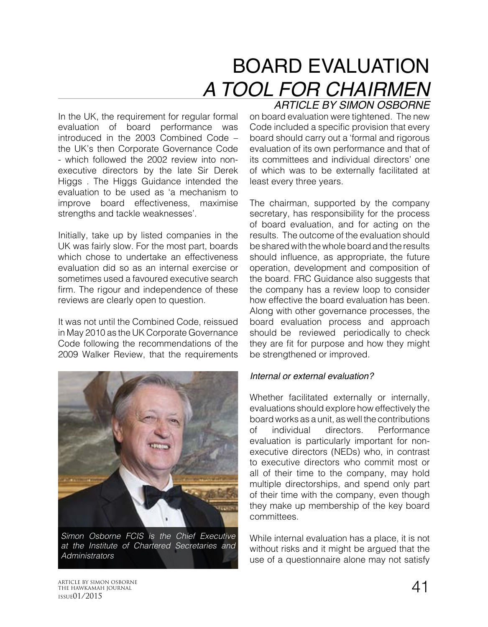# BOARD EVALUATION *A TOOL FOR CHAIRMEN ARTICLE BY SIMON OSBORNE*

In the UK, the requirement for regular formal evaluation of board performance was introduced in the 2003 Combined Code – the UK's then Corporate Governance Code - which followed the 2002 review into nonexecutive directors by the late Sir Derek Higgs . The Higgs Guidance intended the evaluation to be used as 'a mechanism to improve board effectiveness, maximise strengths and tackle weaknesses'.

Initially, take up by listed companies in the UK was fairly slow. For the most part, boards which chose to undertake an effectiveness evaluation did so as an internal exercise or sometimes used a favoured executive search firm. The rigour and independence of these reviews are clearly open to question.

It was not until the Combined Code, reissued in May 2010 as the UK Corporate Governance Code following the recommendations of the 2009 Walker Review, that the requirements



*Simon Osborne FCIS is the Chief Executive at the Institute of Chartered Secretaries and Administrators*

on board evaluation were tightened. The new Code included a specific provision that every board should carry out a 'formal and rigorous evaluation of its own performance and that of its committees and individual directors' one of which was to be externally facilitated at least every three years.

The chairman, supported by the company secretary, has responsibility for the process of board evaluation, and for acting on the results. The outcome of the evaluation should be shared with the whole board and the results should influence, as appropriate, the future operation, development and composition of the board. FRC Guidance also suggests that the company has a review loop to consider how effective the board evaluation has been. Along with other governance processes, the board evaluation process and approach should be reviewed periodically to check they are fit for purpose and how they might be strengthened or improved.

#### *Internal or external evaluation?*

Whether facilitated externally or internally, evaluations should explore how effectively the board works as a unit, as well the contributions of individual directors. Performance evaluation is particularly important for nonexecutive directors (NEDs) who, in contrast to executive directors who commit most or all of their time to the company, may hold multiple directorships, and spend only part of their time with the company, even though they make up membership of the key board committees.

While internal evaluation has a place, it is not without risks and it might be argued that the use of a questionnaire alone may not satisfy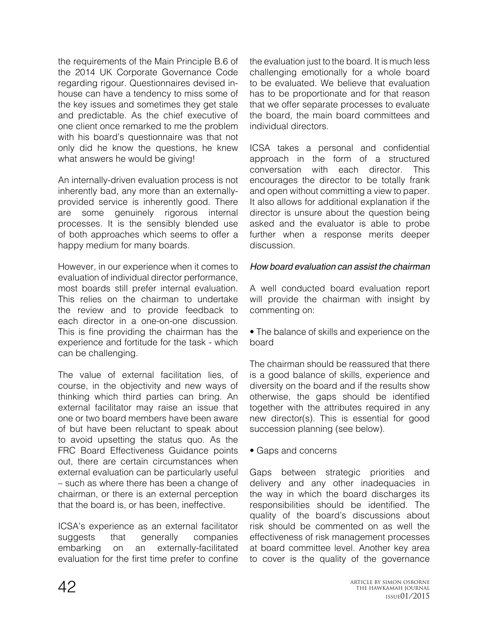the requirements of the Main Principle B.6 of the 2014 UK Corporate Governance Code regarding rigour. Questionnaires devised inhouse can have a tendency to miss some of the key issues and sometimes they get stale and predictable. As the chief executive of one client once remarked to me the problem with his board's questionnaire was that not only did he know the questions, he knew what answers he would be giving!

An internally-driven evaluation process is not inherently bad, any more than an externallyprovided service is inherently good. There are some genuinely rigorous internal processes. It is the sensibly blended use of both approaches which seems to offer a happy medium for many boards.

However, in our experience when it comes to evaluation of individual director performance, most boards still prefer internal evaluation. This relies on the chairman to undertake the review and to provide feedback to each director in a one-on-one discussion. This is fine providing the chairman has the experience and fortitude for the task - which can be challenging.

The value of external facilitation lies, of course, in the objectivity and new ways of thinking which third parties can bring. An external facilitator may raise an issue that one or two board members have been aware of but have been reluctant to speak about to avoid upsetting the status quo. As the FRC Board Effectiveness Guidance points out, there are certain circumstances when external evaluation can be particularly useful – such as where there has been a change of chairman, or there is an external perception that the board is, or has been, ineffective.

ICSA's experience as an external facilitator suggests that generally companies embarking on an externally-facilitated evaluation for the first time prefer to confine the evaluation just to the board. It is much less challenging emotionally for a whole board to be evaluated. We believe that evaluation has to be proportionate and for that reason that we offer separate processes to evaluate the board, the main board committees and individual directors.

ICSA takes a personal and confidential approach in the form of a structured conversation with each director. This encourages the director to be totally frank and open without committing a view to paper. It also allows for additional explanation if the director is unsure about the question being asked and the evaluator is able to probe further when a response merits deeper discussion.

#### *How board evaluation can assist the chairman*

A well conducted board evaluation report will provide the chairman with insight by commenting on:

• The balance of skills and experience on the board

The chairman should be reassured that there is a good balance of skills, experience and diversity on the board and if the results show otherwise, the gaps should be identified together with the attributes required in any new director(s). This is essential for good succession planning (see below).

• Gaps and concerns

Gaps between strategic priorities and delivery and any other inadequacies in the way in which the board discharges its responsibilities should be identified. The quality of the board's discussions about risk should be commented on as well the effectiveness of risk management processes at board committee level. Another key area to cover is the quality of the governance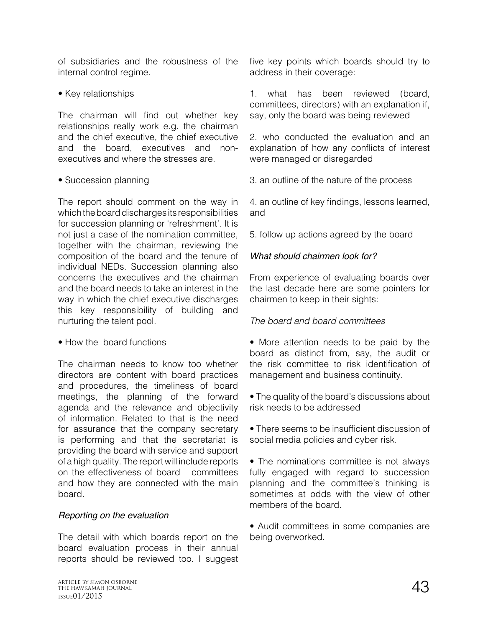of subsidiaries and the robustness of the internal control regime.

• Key relationships

The chairman will find out whether key relationships really work e.g. the chairman and the chief executive, the chief executive and the board, executives and nonexecutives and where the stresses are.

## • Succession planning

The report should comment on the way in which the board discharges its responsibilities for succession planning or 'refreshment'. It is not just a case of the nomination committee, together with the chairman, reviewing the composition of the board and the tenure of individual NEDs. Succession planning also concerns the executives and the chairman and the board needs to take an interest in the way in which the chief executive discharges this key responsibility of building and nurturing the talent pool.

• How the board functions

The chairman needs to know too whether directors are content with board practices and procedures, the timeliness of board meetings, the planning of the forward agenda and the relevance and objectivity of information. Related to that is the need for assurance that the company secretary is performing and that the secretariat is providing the board with service and support of a high quality. The report will include reports on the effectiveness of board committees and how they are connected with the main board.

# *Reporting on the evaluation*

The detail with which boards report on the board evaluation process in their annual reports should be reviewed too. I suggest five key points which boards should try to address in their coverage:

1. what has been reviewed (board, committees, directors) with an explanation if, say, only the board was being reviewed

2. who conducted the evaluation and an explanation of how any conflicts of interest were managed or disregarded

3. an outline of the nature of the process

4. an outline of key findings, lessons learned, and

5. follow up actions agreed by the board

## *What should chairmen look for?*

From experience of evaluating boards over the last decade here are some pointers for chairmen to keep in their sights:

# *The board and board committees*

• More attention needs to be paid by the board as distinct from, say, the audit or the risk committee to risk identification of management and business continuity.

• The quality of the board's discussions about risk needs to be addressed

• There seems to be insufficient discussion of social media policies and cyber risk.

• The nominations committee is not always fully engaged with regard to succession planning and the committee's thinking is sometimes at odds with the view of other members of the board.

• Audit committees in some companies are being overworked.